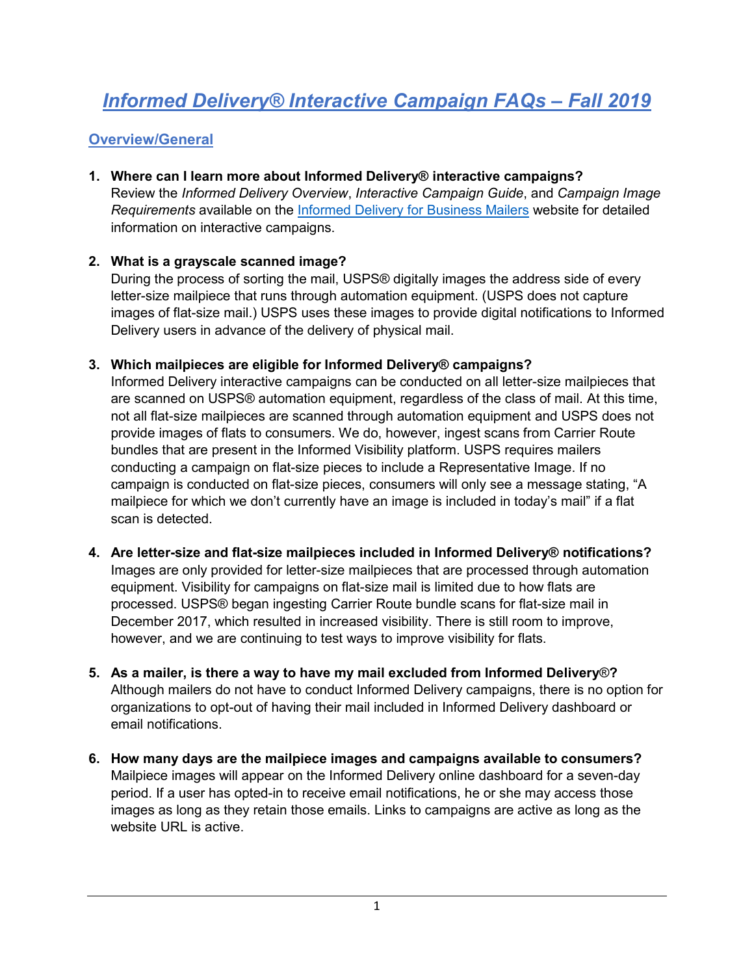# *Informed Delivery® Interactive Campaign FAQs – Fall 2019*

## **Overview/General**

**1. Where can I learn more about Informed Delivery® interactive campaigns?** Review the *Informed Delivery Overview*, *Interactive Campaign Guide*, and *Campaign Image Requirements* available on the [Informed Delivery for Business Mailers](http://www.usps.com/informeddeliverycampaigns) website for detailed information on interactive campaigns.

#### **2. What is a grayscale scanned image?**

During the process of sorting the mail, USPS® digitally images the address side of every letter-size mailpiece that runs through automation equipment. (USPS does not capture images of flat-size mail.) USPS uses these images to provide digital notifications to Informed Delivery users in advance of the delivery of physical mail.

#### **3. Which mailpieces are eligible for Informed Delivery® campaigns?**

Informed Delivery interactive campaigns can be conducted on all letter-size mailpieces that are scanned on USPS® automation equipment, regardless of the class of mail. At this time, not all flat-size mailpieces are scanned through automation equipment and USPS does not provide images of flats to consumers. We do, however, ingest scans from Carrier Route bundles that are present in the Informed Visibility platform. USPS requires mailers conducting a campaign on flat-size pieces to include a Representative Image. If no campaign is conducted on flat-size pieces, consumers will only see a message stating, "A mailpiece for which we don't currently have an image is included in today's mail" if a flat scan is detected.

- **4. Are letter-size and flat-size mailpieces included in Informed Delivery® notifications?** Images are only provided for letter-size mailpieces that are processed through automation equipment. Visibility for campaigns on flat-size mail is limited due to how flats are processed. USPS® began ingesting Carrier Route bundle scans for flat-size mail in December 2017, which resulted in increased visibility. There is still room to improve, however, and we are continuing to test ways to improve visibility for flats.
- **5. As a mailer, is there a way to have my mail excluded from Informed Delivery**®**?** Although mailers do not have to conduct Informed Delivery campaigns, there is no option for organizations to opt-out of having their mail included in Informed Delivery dashboard or email notifications.
- **6. How many days are the mailpiece images and campaigns available to consumers?** Mailpiece images will appear on the Informed Delivery online dashboard for a seven-day period. If a user has opted-in to receive email notifications, he or she may access those images as long as they retain those emails. Links to campaigns are active as long as the website URL is active.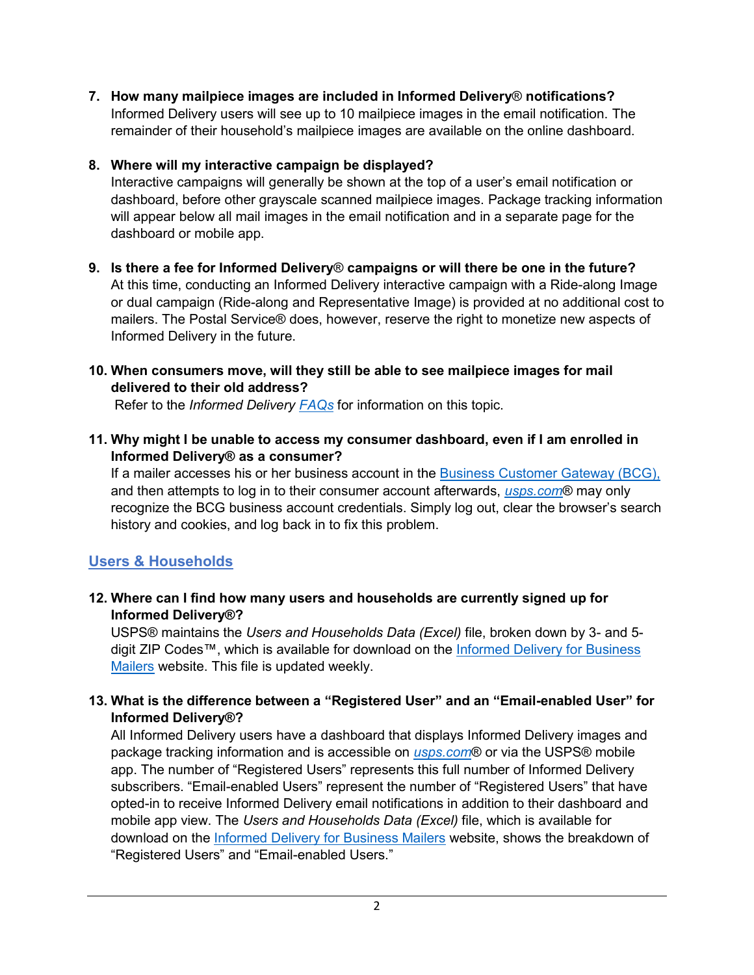**7. How many mailpiece images are included in Informed Delivery**® **notifications?**  Informed Delivery users will see up to 10 mailpiece images in the email notification. The remainder of their household's mailpiece images are available on the online dashboard.

## **8. Where will my interactive campaign be displayed?**

Interactive campaigns will generally be shown at the top of a user's email notification or dashboard, before other grayscale scanned mailpiece images. Package tracking information will appear below all mail images in the email notification and in a separate page for the dashboard or mobile app.

**9. Is there a fee for Informed Delivery**® **campaigns or will there be one in the future?** At this time, conducting an Informed Delivery interactive campaign with a Ride-along Image or dual campaign (Ride-along and Representative Image) is provided at no additional cost to mailers. The Postal Service® does, however, reserve the right to monetize new aspects of Informed Delivery in the future.

## **10. When consumers move, will they still be able to see mailpiece images for mail delivered to their old address?**

Refer to the *Informed Delivery [FAQs](https://www.usps.com/faqs/informeddelivery-faqs.htm)* for information on this topic.

**11. Why might I be unable to access my consumer dashboard, even if I am enrolled in Informed Delivery® as a consumer?**

If a mailer accesses his or her business account in the [Business Customer Gateway \(BCG\),](https://gateway.usps.com/eAdmin/view/signin) and then attempts to log in to their consumer account afterwards, *[usps.com](https://www.usps.com/)*® may only recognize the BCG business account credentials. Simply log out, clear the browser's search history and cookies, and log back in to fix this problem.

# **Users & Households**

## **12. Where can I find how many users and households are currently signed up for Informed Delivery®?**

USPS® maintains the *Users and Households Data (Excel)* file, broken down by 3- and 5 digit ZIP Codes™, which is available for download on the Informed Delivery for Business [Mailers](http://www.usps.com/informeddeliverycampaigns) website. This file is updated weekly.

## **13. What is the difference between a "Registered User" and an "Email-enabled User" for Informed Delivery®?**

All Informed Delivery users have a dashboard that displays Informed Delivery images and package tracking information and is accessible on *[usps.com](https://www.usps.com/)*® or via the USPS® mobile app. The number of "Registered Users" represents this full number of Informed Delivery subscribers. "Email-enabled Users" represent the number of "Registered Users" that have opted-in to receive Informed Delivery email notifications in addition to their dashboard and mobile app view. The *Users and Households Data (Excel)* file, which is available for download on the [Informed Delivery for Business Mailers](http://www.usps.com/informeddeliverycampaigns) website, shows the breakdown of "Registered Users" and "Email-enabled Users."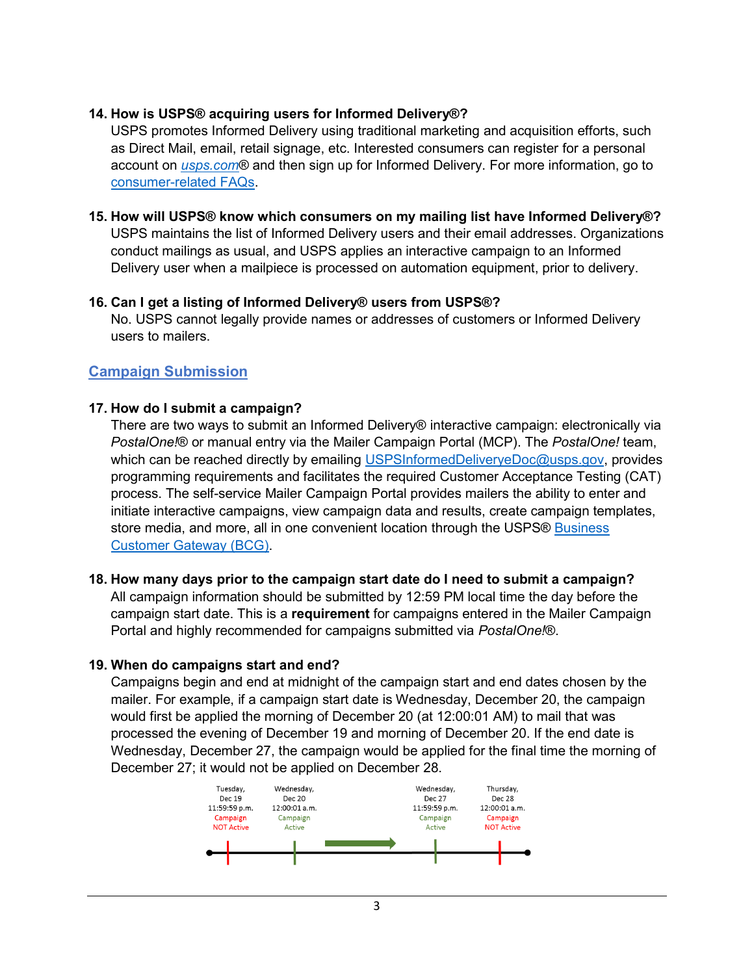#### **14. How is USPS® acquiring users for Informed Delivery®?**

USPS promotes Informed Delivery using traditional marketing and acquisition efforts, such as Direct Mail, email, retail signage, etc. Interested consumers can register for a personal account on *[usps.com](https://www.usps.com/)*® and then sign up for Informed Delivery. For more information, go to [consumer-related FAQs.](https://www.usps.com/faqs/informeddelivery-faqs.htm)

#### **15. How will USPS® know which consumers on my mailing list have Informed Delivery®?** USPS maintains the list of Informed Delivery users and their email addresses. Organizations conduct mailings as usual, and USPS applies an interactive campaign to an Informed Delivery user when a mailpiece is processed on automation equipment, prior to delivery.

#### **16. Can I get a listing of Informed Delivery® users from USPS®?**

No. USPS cannot legally provide names or addresses of customers or Informed Delivery users to mailers.

#### **Campaign Submission**

#### **17. How do I submit a campaign?**

There are two ways to submit an Informed Delivery® interactive campaign: electronically via *PostalOne!*® or manual entry via the Mailer Campaign Portal (MCP). The *PostalOne!* team, which can be reached directly by emailing [USPSInformedDeliveryeDoc@usps.gov,](mailto:USPSInformedDeliveryeDoc@usps.gov) provides programming requirements and facilitates the required Customer Acceptance Testing (CAT) process. The self-service Mailer Campaign Portal provides mailers the ability to enter and initiate interactive campaigns, view campaign data and results, create campaign templates, store media, and more, all in one convenient location through the USPS® Business [Customer Gateway \(BCG\).](https://gateway.usps.com/eAdmin/view/signin)

#### **18. How many days prior to the campaign start date do I need to submit a campaign?**

All campaign information should be submitted by 12:59 PM local time the day before the campaign start date. This is a **requirement** for campaigns entered in the Mailer Campaign Portal and highly recommended for campaigns submitted via *PostalOne!*®.

#### **19. When do campaigns start and end?**

Campaigns begin and end at midnight of the campaign start and end dates chosen by the mailer. For example, if a campaign start date is Wednesday, December 20, the campaign would first be applied the morning of December 20 (at 12:00:01 AM) to mail that was processed the evening of December 19 and morning of December 20. If the end date is Wednesday, December 27, the campaign would be applied for the final time the morning of December 27; it would not be applied on December 28.

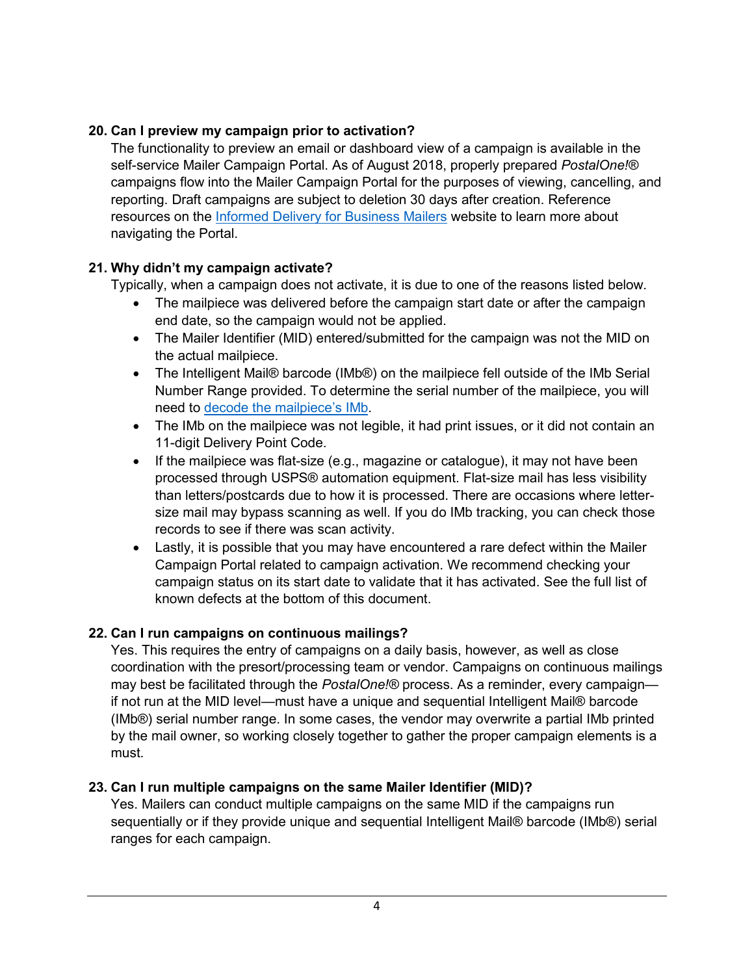## **20. Can I preview my campaign prior to activation?**

The functionality to preview an email or dashboard view of a campaign is available in the self-service Mailer Campaign Portal. As of August 2018, properly prepared *PostalOne!®* campaigns flow into the Mailer Campaign Portal for the purposes of viewing, cancelling, and reporting. Draft campaigns are subject to deletion 30 days after creation. Reference resources on the [Informed Delivery for Business Mailers](http://www.usps.com/informeddeliverycampaigns) website to learn more about navigating the Portal.

## **21. Why didn't my campaign activate?**

Typically, when a campaign does not activate, it is due to one of the reasons listed below.

- The mailpiece was delivered before the campaign start date or after the campaign end date, so the campaign would not be applied.
- The Mailer Identifier (MID) entered/submitted for the campaign was not the MID on the actual mailpiece.
- The Intelligent Mail® barcode (IMb®) on the mailpiece fell outside of the IMb Serial Number Range provided. To determine the serial number of the mailpiece, you will need to [decode the mailpiece's IMb.](https://secure-web.cisco.com/1KZ3i7NgsTqieXjaQZqHV4NRfcZTFrz48_mtsnmtGqrHsAowY2RI2vGGBOHe7YbQJWWj99vxWA0cdghS8JrSBm75ggAU37gB71xITbf96MX64A-rMAJO8EZPxscggKUIdkZsEUNkec7Ro8yezk4nCgsIm6AoVb7ZS0sYsAqMsvBBdj1dXpw-JCqH_Ejnfonkzg4LaIKluwaRXEkGEyzQu5ndF7TtzWOKjvIvZDkqgXQMw7dPsVvkROoqFJgT070h9JJM26teUKRq_cwJOu1HCaExgl8LVJPHiapEPrhH6GC5NtJdYRjDJd-8fkjEkCBhOMS7LuJWXedwd62uVfU20v5sU7_3VKqCmRQ9t2_eA4MIF5rMBohkSpZ8bQS5AxPiu08jTLv5n5JnXF7O1UZFyGi-nO1261RX16SVQghKcA6a9fhO7tiHLo_ZE6O3UCo9h3P4NlY1JFhSSsCTHJzWAeFJ81U7zhkzx4vaooBDy2ZJA2QkhnvN55Bz5HTg09BwwEK3uWB_dYTDIUWOvrmJJ9Q/https%3A%2F%2Fpostalpro.usps.com%2Ftools%2Fencoder)
- The IMb on the mailpiece was not legible, it had print issues, or it did not contain an 11-digit Delivery Point Code.
- If the mailpiece was flat-size (e.g., magazine or catalogue), it may not have been processed through USPS® automation equipment. Flat-size mail has less visibility than letters/postcards due to how it is processed. There are occasions where lettersize mail may bypass scanning as well. If you do IMb tracking, you can check those records to see if there was scan activity.
- Lastly, it is possible that you may have encountered a rare defect within the Mailer Campaign Portal related to campaign activation. We recommend checking your campaign status on its start date to validate that it has activated. See the full list of known defects at the bottom of this document.

## **22. Can I run campaigns on continuous mailings?**

Yes. This requires the entry of campaigns on a daily basis, however, as well as close coordination with the presort/processing team or vendor. Campaigns on continuous mailings may best be facilitated through the *PostalOne!®* process. As a reminder, every campaign if not run at the MID level—must have a unique and sequential Intelligent Mail® barcode (IMb®) serial number range. In some cases, the vendor may overwrite a partial IMb printed by the mail owner, so working closely together to gather the proper campaign elements is a must.

## **23. Can I run multiple campaigns on the same Mailer Identifier (MID)?**

Yes. Mailers can conduct multiple campaigns on the same MID if the campaigns run sequentially or if they provide unique and sequential Intelligent Mail® barcode (IMb®) serial ranges for each campaign.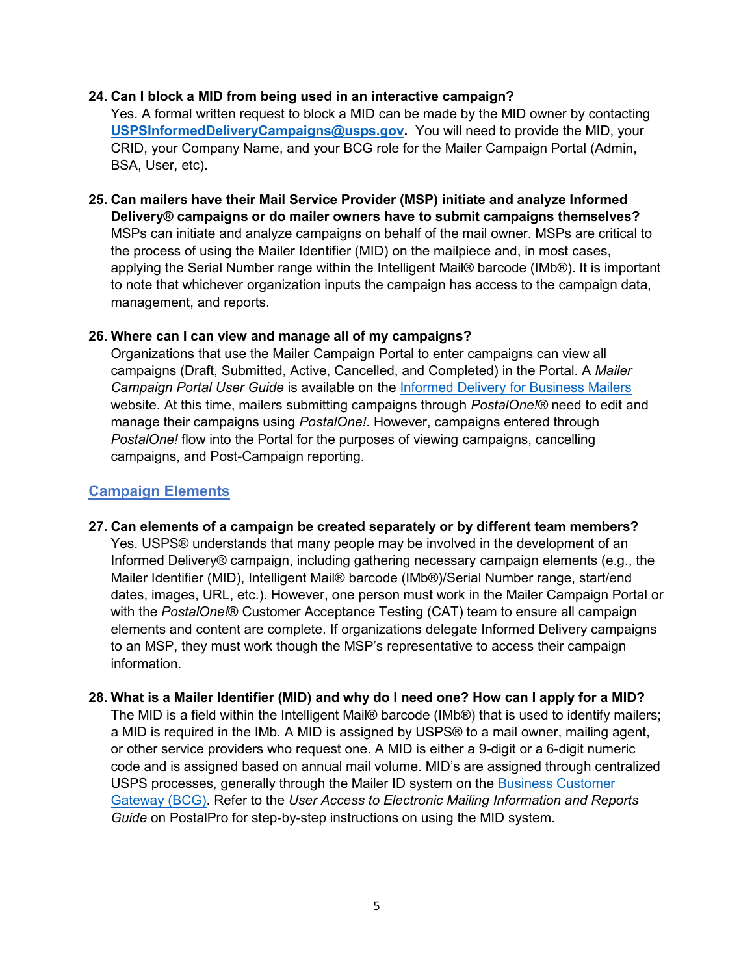#### **24. Can I block a MID from being used in an interactive campaign?**

Yes. A formal written request to block a MID can be made by the MID owner by contacting **[USPSInformedDeliveryCampaigns@usps.gov.](mailto:USPSInformedDeliveryCampaigns@usps.gov)** You will need to provide the MID, your CRID, your Company Name, and your BCG role for the Mailer Campaign Portal (Admin, BSA, User, etc).

**25. Can mailers have their Mail Service Provider (MSP) initiate and analyze Informed Delivery® campaigns or do mailer owners have to submit campaigns themselves?** MSPs can initiate and analyze campaigns on behalf of the mail owner. MSPs are critical to the process of using the Mailer Identifier (MID) on the mailpiece and, in most cases, applying the Serial Number range within the Intelligent Mail® barcode (IMb®). It is important to note that whichever organization inputs the campaign has access to the campaign data, management, and reports.

#### **26. Where can I can view and manage all of my campaigns?**

Organizations that use the Mailer Campaign Portal to enter campaigns can view all campaigns (Draft, Submitted, Active, Cancelled, and Completed) in the Portal. A *Mailer Campaign Portal User Guide* is available on the [Informed Delivery for Business Mailers](http://www.usps.com/informeddeliverycampaigns) website. At this time, mailers submitting campaigns through *PostalOne!®* need to edit and manage their campaigns using *PostalOne!*. However, campaigns entered through *PostalOne!* flow into the Portal for the purposes of viewing campaigns, cancelling campaigns, and Post-Campaign reporting.

# **Campaign Elements**

- **27. Can elements of a campaign be created separately or by different team members?** Yes. USPS® understands that many people may be involved in the development of an Informed Delivery® campaign, including gathering necessary campaign elements (e.g., the Mailer Identifier (MID), Intelligent Mail® barcode (IMb®)/Serial Number range, start/end dates, images, URL, etc.). However, one person must work in the Mailer Campaign Portal or with the *PostalOne!*® Customer Acceptance Testing (CAT) team to ensure all campaign elements and content are complete. If organizations delegate Informed Delivery campaigns to an MSP, they must work though the MSP's representative to access their campaign information.
- **28. What is a Mailer Identifier (MID) and why do I need one? How can I apply for a MID?** The MID is a field within the Intelligent Mail® barcode (IMb®) that is used to identify mailers; a MID is required in the IMb. A MID is assigned by USPS® to a mail owner, mailing agent, or other service providers who request one. A MID is either a 9-digit or a 6-digit numeric code and is assigned based on annual mail volume. MID's are assigned through centralized USPS processes, generally through the Mailer ID system on the [Business Customer](https://gateway.usps.com/eAdmin/view/signin)  [Gateway](https://gateway.usps.com/eAdmin/view/signin) (BCG). Refer to the *User Access to Electronic Mailing Information and Reports Guide* on PostalPro for step-by-step instructions on using the MID system.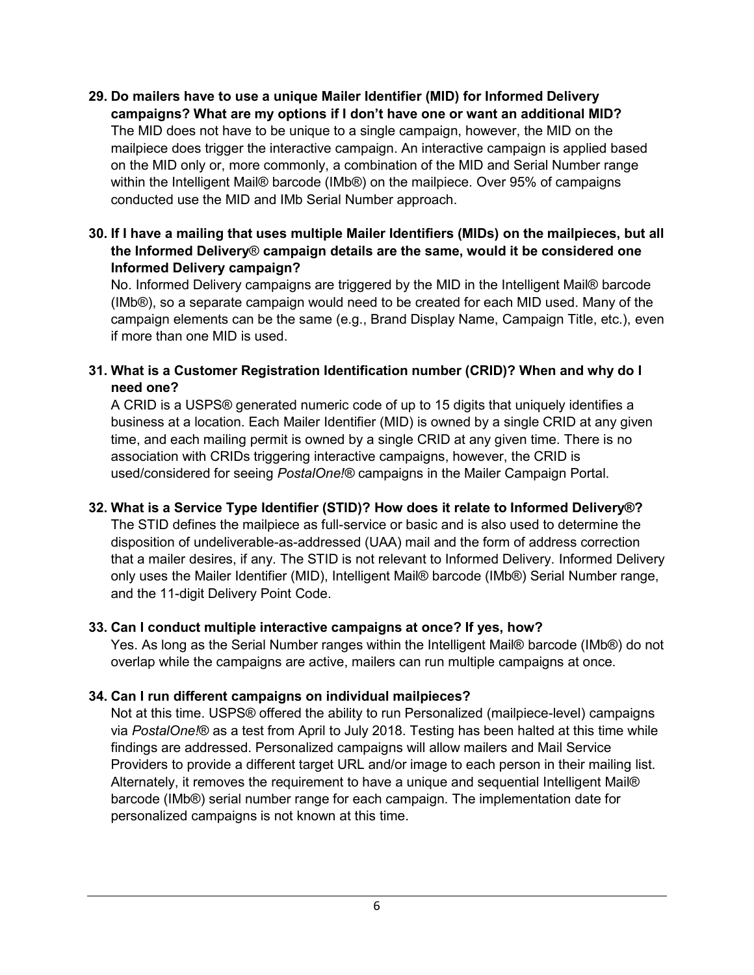- **29. Do mailers have to use a unique Mailer Identifier (MID) for Informed Delivery campaigns? What are my options if I don't have one or want an additional MID?** The MID does not have to be unique to a single campaign, however, the MID on the mailpiece does trigger the interactive campaign. An interactive campaign is applied based on the MID only or, more commonly, a combination of the MID and Serial Number range within the Intelligent Mail® barcode (IMb®) on the mailpiece. Over 95% of campaigns conducted use the MID and IMb Serial Number approach.
- **30. If I have a mailing that uses multiple Mailer Identifiers (MIDs) on the mailpieces, but all the Informed Delivery**® **campaign details are the same, would it be considered one Informed Delivery campaign?**

No. Informed Delivery campaigns are triggered by the MID in the Intelligent Mail® barcode (IMb®), so a separate campaign would need to be created for each MID used. Many of the campaign elements can be the same (e.g., Brand Display Name, Campaign Title, etc.), even if more than one MID is used.

#### **31. What is a Customer Registration Identification number (CRID)? When and why do I need one?**

A CRID is a USPS® generated numeric code of up to 15 digits that uniquely identifies a business at a location. Each Mailer Identifier (MID) is owned by a single CRID at any given time, and each mailing permit is owned by a single CRID at any given time. There is no association with CRIDs triggering interactive campaigns, however, the CRID is used/considered for seeing *PostalOne!®* campaigns in the Mailer Campaign Portal.

## **32. What is a Service Type Identifier (STID)? How does it relate to Informed Delivery®?**

The STID defines the mailpiece as full-service or basic and is also used to determine the disposition of undeliverable-as-addressed (UAA) mail and the form of address correction that a mailer desires, if any. The STID is not relevant to Informed Delivery. Informed Delivery only uses the Mailer Identifier (MID), Intelligent Mail® barcode (IMb®) Serial Number range, and the 11-digit Delivery Point Code.

## **33. Can I conduct multiple interactive campaigns at once? If yes, how?**

Yes. As long as the Serial Number ranges within the Intelligent Mail® barcode (IMb®) do not overlap while the campaigns are active, mailers can run multiple campaigns at once.

## **34. Can I run different campaigns on individual mailpieces?**

Not at this time. USPS® offered the ability to run Personalized (mailpiece-level) campaigns via *PostalOne!*® as a test from April to July 2018. Testing has been halted at this time while findings are addressed. Personalized campaigns will allow mailers and Mail Service Providers to provide a different target URL and/or image to each person in their mailing list. Alternately, it removes the requirement to have a unique and sequential Intelligent Mail® barcode (IMb®) serial number range for each campaign. The implementation date for personalized campaigns is not known at this time.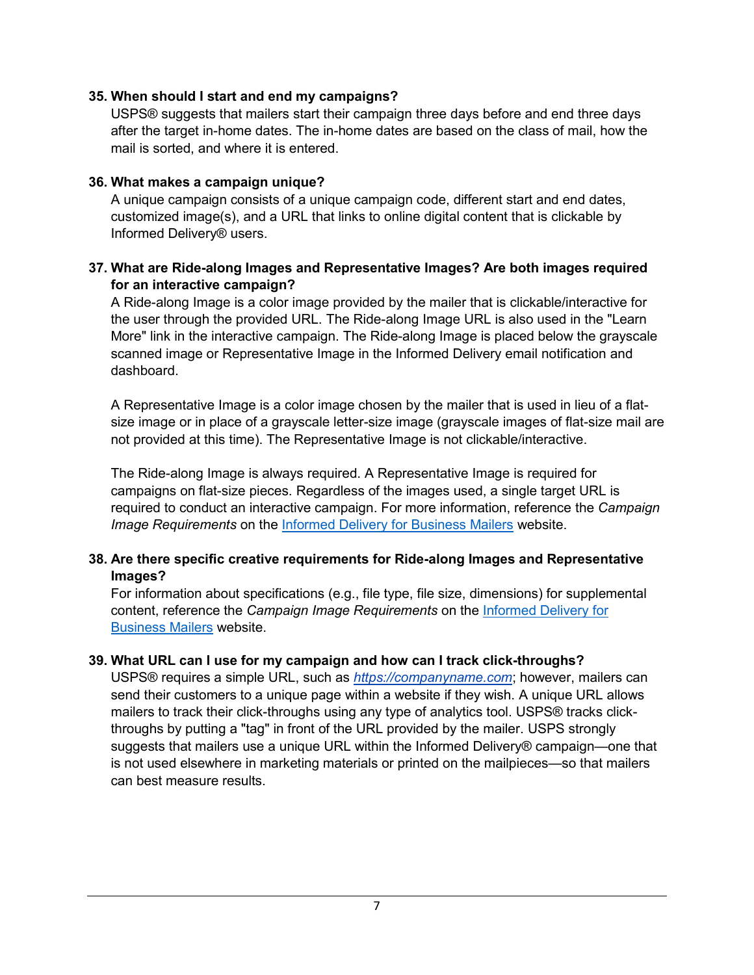#### **35. When should I start and end my campaigns?**

USPS® suggests that mailers start their campaign three days before and end three days after the target in-home dates. The in-home dates are based on the class of mail, how the mail is sorted, and where it is entered.

#### **36. What makes a campaign unique?**

A unique campaign consists of a unique campaign code, different start and end dates, customized image(s), and a URL that links to online digital content that is clickable by Informed Delivery® users.

#### **37. What are Ride-along Images and Representative Images? Are both images required for an interactive campaign?**

A Ride-along Image is a color image provided by the mailer that is clickable/interactive for the user through the provided URL. The Ride-along Image URL is also used in the "Learn More" link in the interactive campaign. The Ride-along Image is placed below the grayscale scanned image or Representative Image in the Informed Delivery email notification and dashboard.

A Representative Image is a color image chosen by the mailer that is used in lieu of a flatsize image or in place of a grayscale letter-size image (grayscale images of flat-size mail are not provided at this time). The Representative Image is not clickable/interactive.

The Ride-along Image is always required. A Representative Image is required for campaigns on flat-size pieces. Regardless of the images used, a single target URL is required to conduct an interactive campaign. For more information, reference the *Campaign Image Requirements* on the [Informed Delivery for Business Mailers](http://www.usps.com/informeddeliverycampaigns) website.

#### **38. Are there specific creative requirements for Ride-along Images and Representative Images?**

For information about specifications (e.g., file type, file size, dimensions) for supplemental content, reference the *Campaign Image Requirements* on the [Informed Delivery for](http://www.usps.com/informeddeliverycampaigns)  [Business Mailers](http://www.usps.com/informeddeliverycampaigns) website.

## **39. What URL can I use for my campaign and how can I track click-throughs?**

USPS® requires a simple URL, such as *https://companyname.com*; however, mailers can send their customers to a unique page within a website if they wish. A unique URL allows mailers to track their click-throughs using any type of analytics tool. USPS® tracks clickthroughs by putting a "tag" in front of the URL provided by the mailer. USPS strongly suggests that mailers use a unique URL within the Informed Delivery® campaign—one that is not used elsewhere in marketing materials or printed on the mailpieces—so that mailers can best measure results.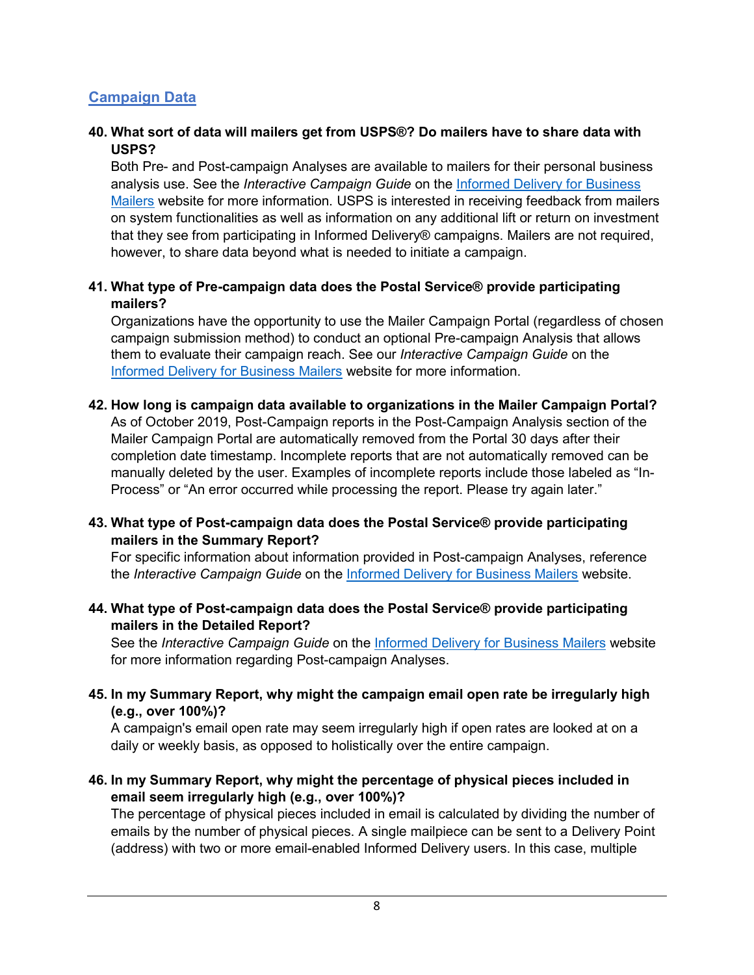## **Campaign Data**

#### **40. What sort of data will mailers get from USPS®? Do mailers have to share data with USPS?**

Both Pre- and Post-campaign Analyses are available to mailers for their personal business analysis use. See the *Interactive Campaign Guide* on the [Informed Delivery for Business](http://www.usps.com/informeddeliverycampaigns)  [Mailers](http://www.usps.com/informeddeliverycampaigns) website for more information. USPS is interested in receiving feedback from mailers on system functionalities as well as information on any additional lift or return on investment that they see from participating in Informed Delivery® campaigns. Mailers are not required, however, to share data beyond what is needed to initiate a campaign.

#### **41. What type of Pre-campaign data does the Postal Service® provide participating mailers?**

Organizations have the opportunity to use the Mailer Campaign Portal (regardless of chosen campaign submission method) to conduct an optional Pre-campaign Analysis that allows them to evaluate their campaign reach. See our *Interactive Campaign Guide* on the [Informed Delivery for Business Mailers](http://www.usps.com/informeddeliverycampaigns) website for more information.

#### **42. How long is campaign data available to organizations in the Mailer Campaign Portal?**

As of October 2019, Post-Campaign reports in the Post-Campaign Analysis section of the Mailer Campaign Portal are automatically removed from the Portal 30 days after their completion date timestamp. Incomplete reports that are not automatically removed can be manually deleted by the user. Examples of incomplete reports include those labeled as "In-Process" or "An error occurred while processing the report. Please try again later."

#### **43. What type of Post-campaign data does the Postal Service® provide participating mailers in the Summary Report?**

For specific information about information provided in Post-campaign Analyses, reference the *Interactive Campaign Guide* on the [Informed Delivery for Business Mailers](http://www.usps.com/informeddeliverycampaigns) website.

#### **44. What type of Post-campaign data does the Postal Service® provide participating mailers in the Detailed Report?**

See the *Interactive Campaign Guide* on the [Informed Delivery for Business](http://www.usps.com/informeddeliverycampaigns) Mailers website for more information regarding Post-campaign Analyses.

**45. In my Summary Report, why might the campaign email open rate be irregularly high (e.g., over 100%)?**

A campaign's email open rate may seem irregularly high if open rates are looked at on a daily or weekly basis, as opposed to holistically over the entire campaign.

#### **46. In my Summary Report, why might the percentage of physical pieces included in email seem irregularly high (e.g., over 100%)?**

The percentage of physical pieces included in email is calculated by dividing the number of emails by the number of physical pieces. A single mailpiece can be sent to a Delivery Point (address) with two or more email-enabled Informed Delivery users. In this case, multiple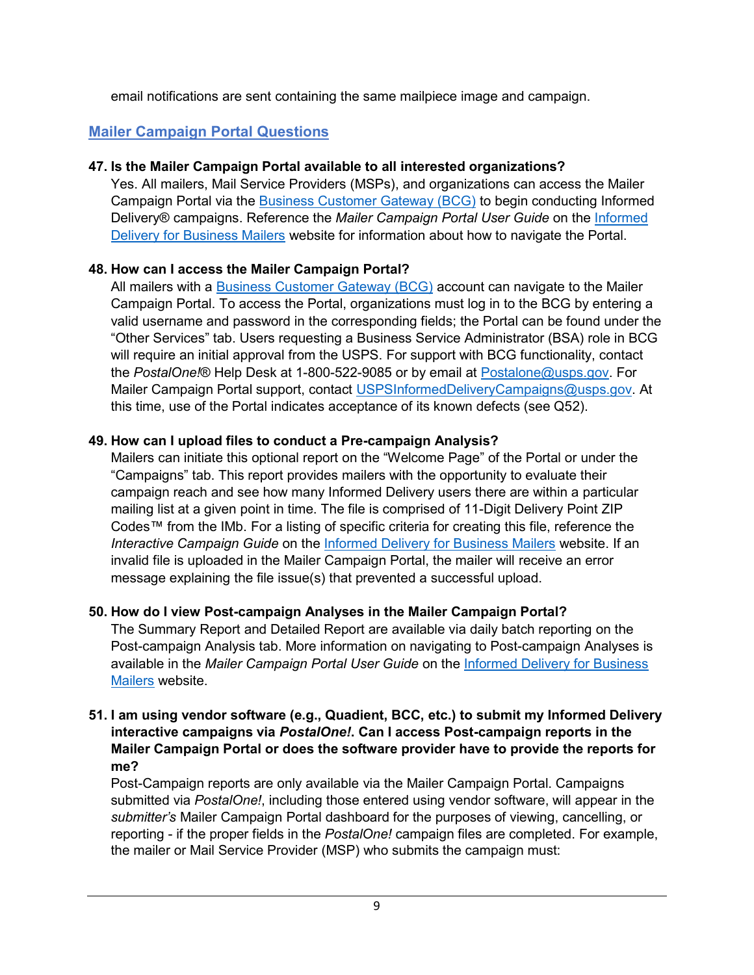email notifications are sent containing the same mailpiece image and campaign.

# **Mailer Campaign Portal Questions**

## **47. Is the Mailer Campaign Portal available to all interested organizations?**

Yes. All mailers, Mail Service Providers (MSPs), and organizations can access the Mailer Campaign Portal via the [Business Customer Gateway \(BCG\)](https://gateway.usps.com/eAdmin/view/signin) to begin conducting Informed Delivery® campaigns. Reference the *Mailer Campaign Portal User Guide* on th[e Informed](http://www.usps.com/informeddeliverycampaigns)  [Delivery for Business Mailers](http://www.usps.com/informeddeliverycampaigns) website for information about how to navigate the Portal.

## **48. How can I access the Mailer Campaign Portal?**

All mailers with a [Business Customer Gateway \(BCG\)](https://gateway.usps.com/eAdmin/view/signin) account can navigate to the Mailer Campaign Portal. To access the Portal, organizations must log in to the BCG by entering a valid username and password in the corresponding fields; the Portal can be found under the "Other Services" tab. Users requesting a Business Service Administrator (BSA) role in BCG will require an initial approval from the USPS. For support with BCG functionality, contact the *PostalOne!*® Help Desk at 1-800-522-9085 or by email at [Postalone@usps.gov.](mailto:Postalone@usps.gov) For Mailer Campaign Portal support, contact [USPSInformedDeliveryCampaigns@usps.gov.](mailto:USPSInformedDeliveryCampaigns@usps.gov) At this time, use of the Portal indicates acceptance of its known defects (see Q52).

## **49. How can I upload files to conduct a Pre-campaign Analysis?**

Mailers can initiate this optional report on the "Welcome Page" of the Portal or under the "Campaigns" tab. This report provides mailers with the opportunity to evaluate their campaign reach and see how many Informed Delivery users there are within a particular mailing list at a given point in time. The file is comprised of 11-Digit Delivery Point ZIP Codes™ from the IMb. For a listing of specific criteria for creating this file, reference the *Interactive Campaign Guide* on the [Informed Delivery for Business Mailers](http://www.usps.com/informeddeliverycampaigns) website. If an invalid file is uploaded in the Mailer Campaign Portal, the mailer will receive an error message explaining the file issue(s) that prevented a successful upload.

# **50. How do I view Post-campaign Analyses in the Mailer Campaign Portal?**

The Summary Report and Detailed Report are available via daily batch reporting on the Post-campaign Analysis tab. More information on navigating to Post-campaign Analyses is available in the *Mailer Campaign Portal User Guide* on the [Informed Delivery for Business](http://www.usps.com/informeddeliverycampaigns)  [Mailers](http://www.usps.com/informeddeliverycampaigns) website.

#### **51. I am using vendor software (e.g., Quadient, BCC, etc.) to submit my Informed Delivery interactive campaigns via** *PostalOne!***. Can I access Post-campaign reports in the Mailer Campaign Portal or does the software provider have to provide the reports for me?**

Post-Campaign reports are only available via the Mailer Campaign Portal. Campaigns submitted via *PostalOne!*, including those entered using vendor software, will appear in the *submitter's* Mailer Campaign Portal dashboard for the purposes of viewing, cancelling, or reporting - if the proper fields in the *PostalOne!* campaign files are completed. For example, the mailer or Mail Service Provider (MSP) who submits the campaign must: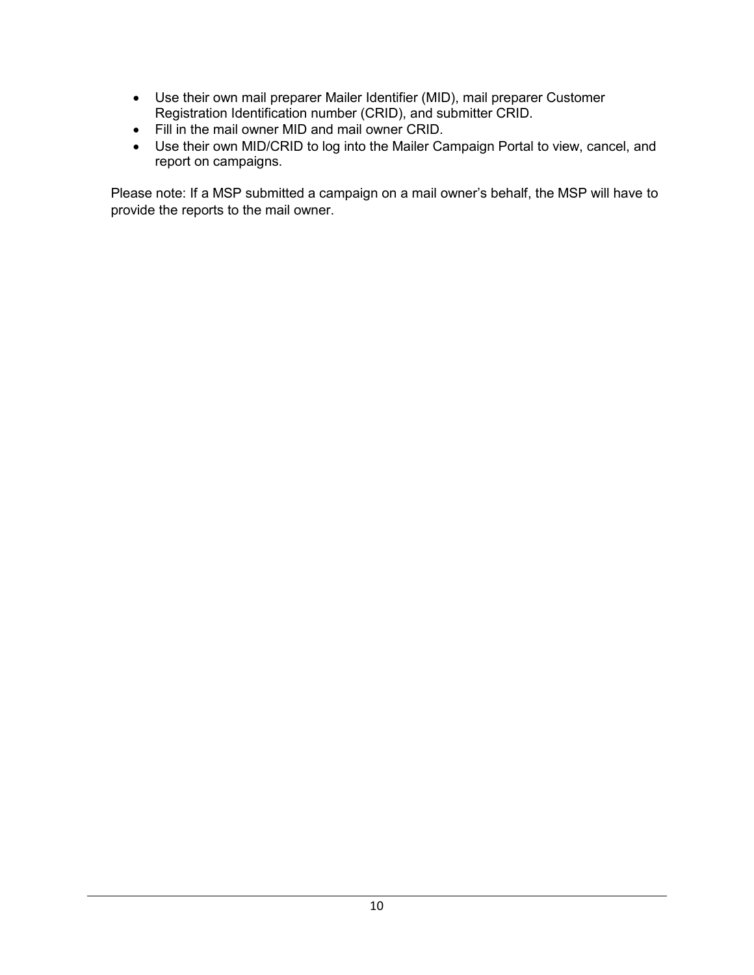- Use their own mail preparer Mailer Identifier (MID), mail preparer Customer Registration Identification number (CRID), and submitter CRID.
- Fill in the mail owner MID and mail owner CRID.
- Use their own MID/CRID to log into the Mailer Campaign Portal to view, cancel, and report on campaigns.

Please note: If a MSP submitted a campaign on a mail owner's behalf, the MSP will have to provide the reports to the mail owner.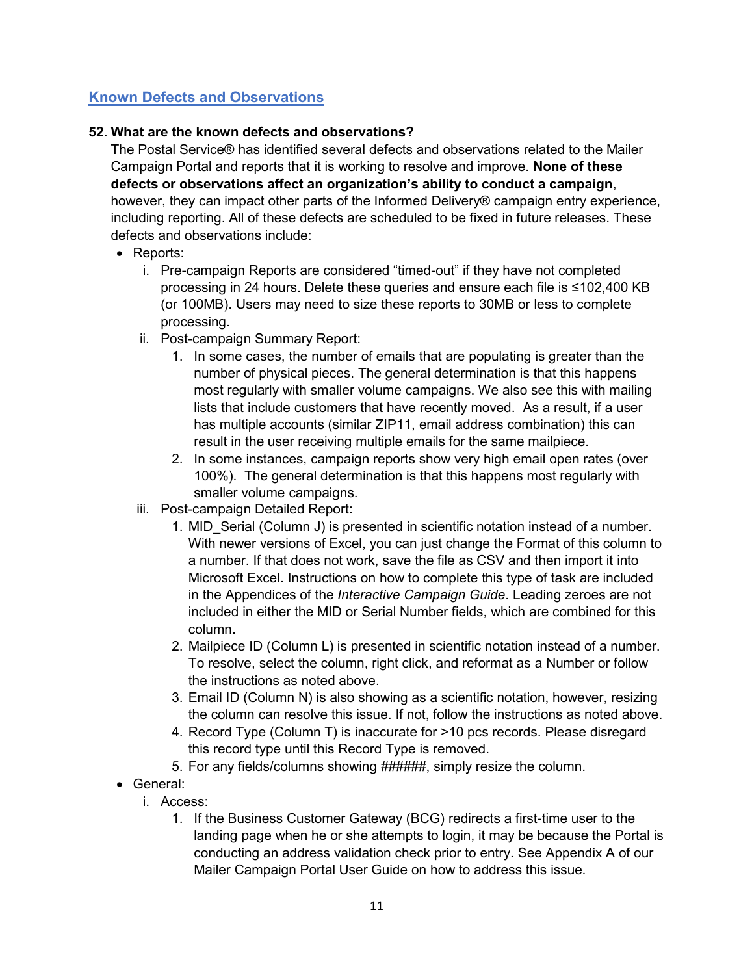# **Known Defects and Observations**

## **52. What are the known defects and observations?**

The Postal Service® has identified several defects and observations related to the Mailer Campaign Portal and reports that it is working to resolve and improve. **None of these defects or observations affect an organization's ability to conduct a campaign**, however, they can impact other parts of the Informed Delivery® campaign entry experience, including reporting. All of these defects are scheduled to be fixed in future releases. These defects and observations include:

- Reports:
	- i. Pre-campaign Reports are considered "timed-out" if they have not completed processing in 24 hours. Delete these queries and ensure each file is ≤102,400 KB (or 100MB). Users may need to size these reports to 30MB or less to complete processing.
	- ii. Post-campaign Summary Report:
		- 1. In some cases, the number of emails that are populating is greater than the number of physical pieces. The general determination is that this happens most regularly with smaller volume campaigns. We also see this with mailing lists that include customers that have recently moved. As a result, if a user has multiple accounts (similar ZIP11, email address combination) this can result in the user receiving multiple emails for the same mailpiece.
		- 2. In some instances, campaign reports show very high email open rates (over 100%). The general determination is that this happens most regularly with smaller volume campaigns.
	- iii. Post-campaign Detailed Report:
		- 1. MID\_Serial (Column J) is presented in scientific notation instead of a number. With newer versions of Excel, you can just change the Format of this column to a number. If that does not work, save the file as CSV and then import it into Microsoft Excel. Instructions on how to complete this type of task are included in the Appendices of the *Interactive Campaign Guide*. Leading zeroes are not included in either the MID or Serial Number fields, which are combined for this column.
		- 2. Mailpiece ID (Column L) is presented in scientific notation instead of a number. To resolve, select the column, right click, and reformat as a Number or follow the instructions as noted above.
		- 3. Email ID (Column N) is also showing as a scientific notation, however, resizing the column can resolve this issue. If not, follow the instructions as noted above.
		- 4. Record Type (Column T) is inaccurate for >10 pcs records. Please disregard this record type until this Record Type is removed.
		- 5. For any fields/columns showing ######, simply resize the column.
- General:
	- i. Access:
		- 1. If the [Business Customer Gateway \(BCG\)](https://gateway.usps.com/eAdmin/view/signin) redirects a first-time user to the landing page when he or she attempts to login, it may be because the Portal is conducting an address validation check prior to entry. See Appendix A of our Mailer Campaign Portal User Guide on how to address this issue.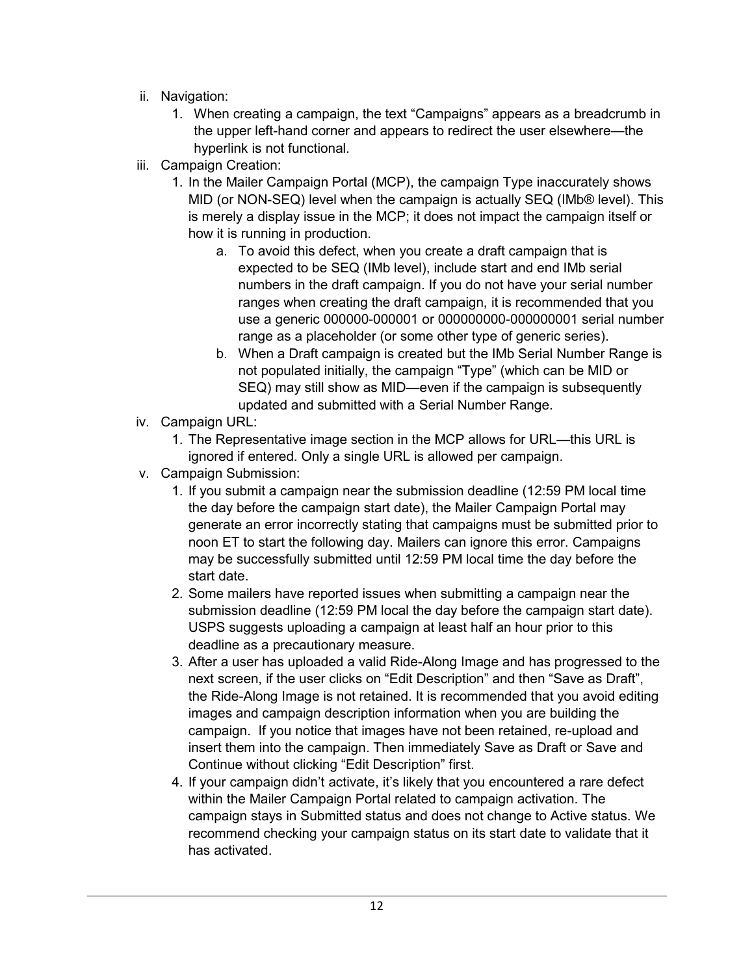- ii. Navigation:
	- 1. When creating a campaign, the text "Campaigns" appears as a breadcrumb in the upper left-hand corner and appears to redirect the user elsewhere—the hyperlink is not functional.
- iii. Campaign Creation:
	- 1. In the Mailer Campaign Portal (MCP), the campaign Type inaccurately shows MID (or NON-SEQ) level when the campaign is actually SEQ (IMb® level). This is merely a display issue in the MCP; it does not impact the campaign itself or how it is running in production.
		- a. To avoid this defect, when you create a draft campaign that is expected to be SEQ (IMb level), include start and end IMb serial numbers in the draft campaign. If you do not have your serial number ranges when creating the draft campaign, it is recommended that you use a generic 000000-000001 or 000000000-000000001 serial number range as a placeholder (or some other type of generic series).
		- b. When a Draft campaign is created but the IMb Serial Number Range is not populated initially, the campaign "Type" (which can be MID or SEQ) may still show as MID—even if the campaign is subsequently updated and submitted with a Serial Number Range.
- iv. Campaign URL:
	- 1. The Representative image section in the MCP allows for URL—this URL is ignored if entered. Only a single URL is allowed per campaign.
- v. Campaign Submission:
	- 1. If you submit a campaign near the submission deadline (12:59 PM local time the day before the campaign start date), the Mailer Campaign Portal may generate an error incorrectly stating that campaigns must be submitted prior to noon ET to start the following day. Mailers can ignore this error. Campaigns may be successfully submitted until 12:59 PM local time the day before the start date.
	- 2. Some mailers have reported issues when submitting a campaign near the submission deadline (12:59 PM local the day before the campaign start date). USPS suggests uploading a campaign at least half an hour prior to this deadline as a precautionary measure.
	- 3. After a user has uploaded a valid Ride-Along Image and has progressed to the next screen, if the user clicks on "Edit Description" and then "Save as Draft", the Ride-Along Image is not retained. It is recommended that you avoid editing images and campaign description information when you are building the campaign. If you notice that images have not been retained, re-upload and insert them into the campaign. Then immediately Save as Draft or Save and Continue without clicking "Edit Description" first.
	- 4. If your campaign didn't activate, it's likely that you encountered a rare defect within the Mailer Campaign Portal related to campaign activation. The campaign stays in Submitted status and does not change to Active status. We recommend checking your campaign status on its start date to validate that it has activated.